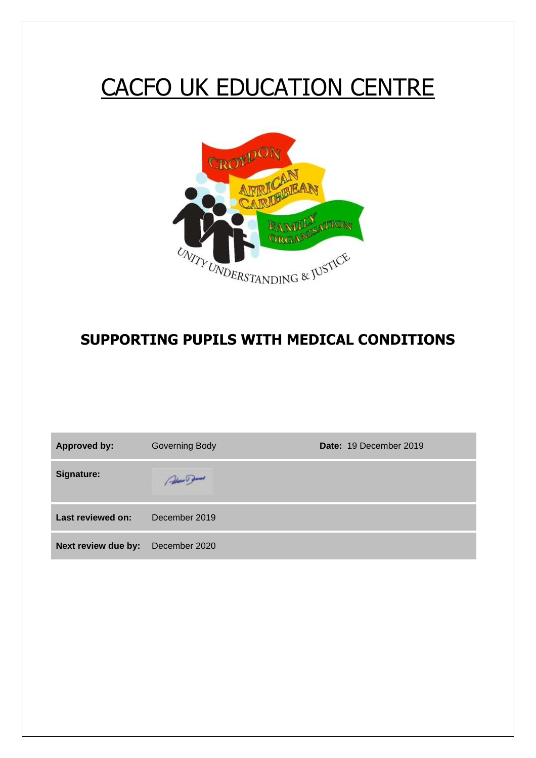# CACFO UK EDUCATION CENTRE



# **SUPPORTING PUPILS WITH MEDICAL CONDITIONS**

| <b>Approved by:</b> | Governing Body | Date: 19 December 2019 |
|---------------------|----------------|------------------------|
| Signature:          |                |                        |
| Last reviewed on:   | December 2019  |                        |
| Next review due by: | December 2020  |                        |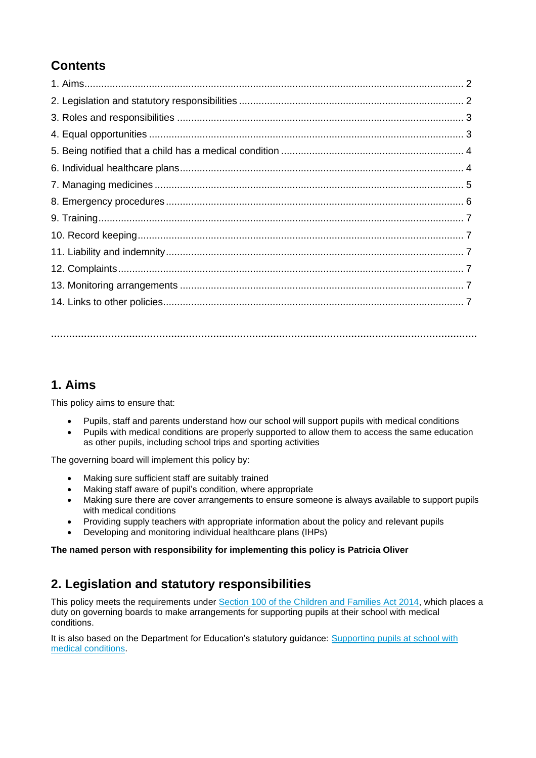# **Contents**

## **1. Aims**

This policy aims to ensure that:

• Pupils, staff and parents understand how our school will support pupils with medical conditions

**…………………………………………………………………………………………………………………………….**

• Pupils with medical conditions are properly supported to allow them to access the same education as other pupils, including school trips and sporting activities

The governing board will implement this policy by:

- Making sure sufficient staff are suitably trained
- Making staff aware of pupil's condition, where appropriate
- Making sure there are cover arrangements to ensure someone is always available to support pupils with medical conditions
- Providing supply teachers with appropriate information about the policy and relevant pupils
- Developing and monitoring individual healthcare plans (IHPs)

**The named person with responsibility for implementing this policy is Patricia Oliver**

## **2. Legislation and statutory responsibilities**

This policy meets the requirements under [Section 100 of the Children and Families Act 2014,](http://www.legislation.gov.uk/ukpga/2014/6/part/5/crossheading/pupils-with-medical-conditions) which places a duty on governing boards to make arrangements for supporting pupils at their school with medical conditions.

It is also based on the Department for Education's statutory guidance: **Supporting pupils at school with** [medical conditions.](https://www.gov.uk/government/uploads/system/uploads/attachment_data/file/484418/supporting-pupils-at-school-with-medical-conditions.pdf)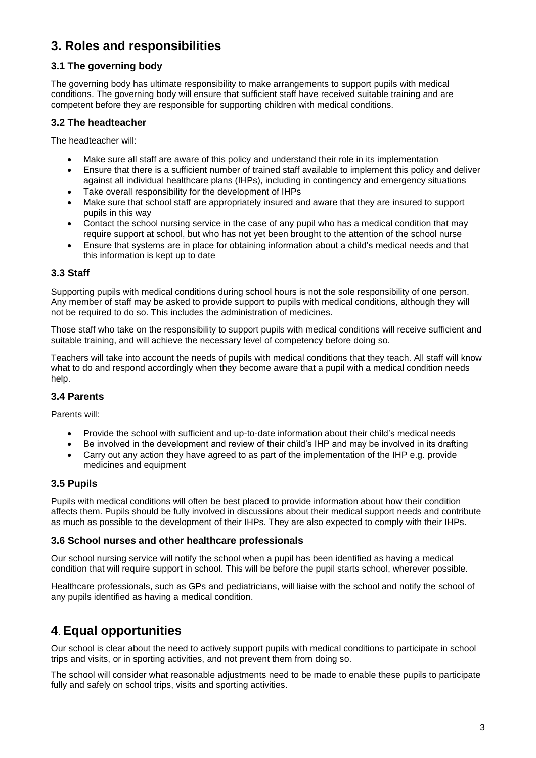# **3. Roles and responsibilities**

## **3.1 The governing body**

The governing body has ultimate responsibility to make arrangements to support pupils with medical conditions. The governing body will ensure that sufficient staff have received suitable training and are competent before they are responsible for supporting children with medical conditions.

## **3.2 The headteacher**

The headteacher will:

- Make sure all staff are aware of this policy and understand their role in its implementation
- Ensure that there is a sufficient number of trained staff available to implement this policy and deliver against all individual healthcare plans (IHPs), including in contingency and emergency situations
- Take overall responsibility for the development of IHPs
- Make sure that school staff are appropriately insured and aware that they are insured to support pupils in this way
- Contact the school nursing service in the case of any pupil who has a medical condition that may require support at school, but who has not yet been brought to the attention of the school nurse
- Ensure that systems are in place for obtaining information about a child's medical needs and that this information is kept up to date

## **3.3 Staff**

Supporting pupils with medical conditions during school hours is not the sole responsibility of one person. Any member of staff may be asked to provide support to pupils with medical conditions, although they will not be required to do so. This includes the administration of medicines.

Those staff who take on the responsibility to support pupils with medical conditions will receive sufficient and suitable training, and will achieve the necessary level of competency before doing so.

Teachers will take into account the needs of pupils with medical conditions that they teach. All staff will know what to do and respond accordingly when they become aware that a pupil with a medical condition needs help.

## **3.4 Parents**

Parents will:

- Provide the school with sufficient and up-to-date information about their child's medical needs
- Be involved in the development and review of their child's IHP and may be involved in its drafting
- Carry out any action they have agreed to as part of the implementation of the IHP e.g. provide medicines and equipment

## **3.5 Pupils**

Pupils with medical conditions will often be best placed to provide information about how their condition affects them. Pupils should be fully involved in discussions about their medical support needs and contribute as much as possible to the development of their IHPs. They are also expected to comply with their IHPs.

#### **3.6 School nurses and other healthcare professionals**

Our school nursing service will notify the school when a pupil has been identified as having a medical condition that will require support in school. This will be before the pupil starts school, wherever possible.

Healthcare professionals, such as GPs and pediatricians, will liaise with the school and notify the school of any pupils identified as having a medical condition.

# **4**. **Equal opportunities**

Our school is clear about the need to actively support pupils with medical conditions to participate in school trips and visits, or in sporting activities, and not prevent them from doing so.

The school will consider what reasonable adjustments need to be made to enable these pupils to participate fully and safely on school trips, visits and sporting activities.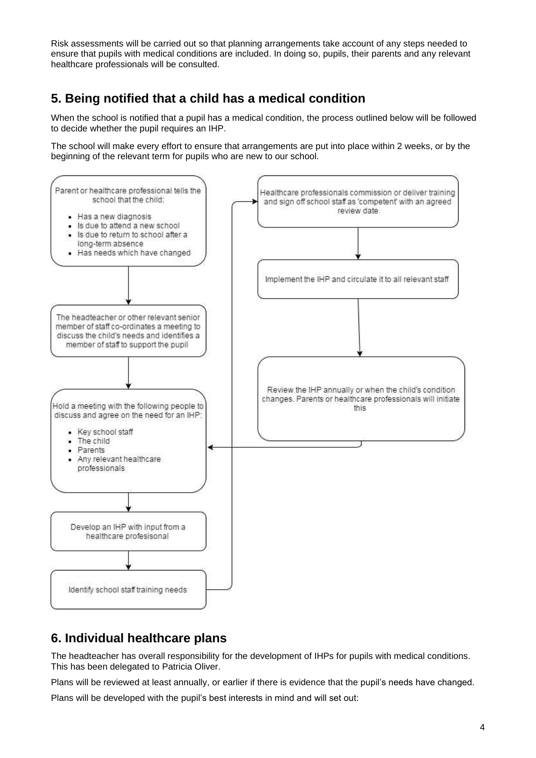Risk assessments will be carried out so that planning arrangements take account of any steps needed to ensure that pupils with medical conditions are included. In doing so, pupils, their parents and any relevant healthcare professionals will be consulted.

# **5. Being notified that a child has a medical condition**

When the school is notified that a pupil has a medical condition, the process outlined below will be followed to decide whether the pupil requires an IHP.

The school will make every effort to ensure that arrangements are put into place within 2 weeks, or by the beginning of the relevant term for pupils who are new to our school.



## **6. Individual healthcare plans**

The headteacher has overall responsibility for the development of IHPs for pupils with medical conditions. This has been delegated to Patricia Oliver.

Plans will be reviewed at least annually, or earlier if there is evidence that the pupil's needs have changed.

Plans will be developed with the pupil's best interests in mind and will set out: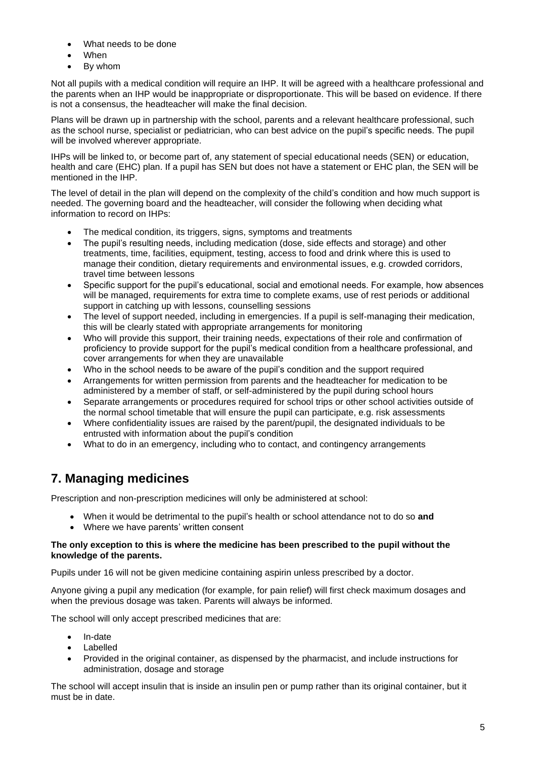- What needs to be done
- When
- By whom

Not all pupils with a medical condition will require an IHP. It will be agreed with a healthcare professional and the parents when an IHP would be inappropriate or disproportionate. This will be based on evidence. If there is not a consensus, the headteacher will make the final decision.

Plans will be drawn up in partnership with the school, parents and a relevant healthcare professional, such as the school nurse, specialist or pediatrician, who can best advice on the pupil's specific needs. The pupil will be involved wherever appropriate.

IHPs will be linked to, or become part of, any statement of special educational needs (SEN) or education, health and care (EHC) plan. If a pupil has SEN but does not have a statement or EHC plan, the SEN will be mentioned in the IHP.

The level of detail in the plan will depend on the complexity of the child's condition and how much support is needed. The governing board and the headteacher, will consider the following when deciding what information to record on IHPs:

- The medical condition, its triggers, signs, symptoms and treatments
- The pupil's resulting needs, including medication (dose, side effects and storage) and other treatments, time, facilities, equipment, testing, access to food and drink where this is used to manage their condition, dietary requirements and environmental issues, e.g. crowded corridors, travel time between lessons
- Specific support for the pupil's educational, social and emotional needs. For example, how absences will be managed, requirements for extra time to complete exams, use of rest periods or additional support in catching up with lessons, counselling sessions
- The level of support needed, including in emergencies. If a pupil is self-managing their medication, this will be clearly stated with appropriate arrangements for monitoring
- Who will provide this support, their training needs, expectations of their role and confirmation of proficiency to provide support for the pupil's medical condition from a healthcare professional, and cover arrangements for when they are unavailable
- Who in the school needs to be aware of the pupil's condition and the support required
- Arrangements for written permission from parents and the headteacher for medication to be administered by a member of staff, or self-administered by the pupil during school hours
- Separate arrangements or procedures required for school trips or other school activities outside of the normal school timetable that will ensure the pupil can participate, e.g. risk assessments
- Where confidentiality issues are raised by the parent/pupil, the designated individuals to be entrusted with information about the pupil's condition
- What to do in an emergency, including who to contact, and contingency arrangements

# **7. Managing medicines**

Prescription and non-prescription medicines will only be administered at school:

- When it would be detrimental to the pupil's health or school attendance not to do so **and**
- Where we have parents' written consent

#### **The only exception to this is where the medicine has been prescribed to the pupil without the knowledge of the parents.**

Pupils under 16 will not be given medicine containing aspirin unless prescribed by a doctor.

Anyone giving a pupil any medication (for example, for pain relief) will first check maximum dosages and when the previous dosage was taken. Parents will always be informed.

The school will only accept prescribed medicines that are:

- In-date
- Labelled
- Provided in the original container, as dispensed by the pharmacist, and include instructions for administration, dosage and storage

The school will accept insulin that is inside an insulin pen or pump rather than its original container, but it must be in date.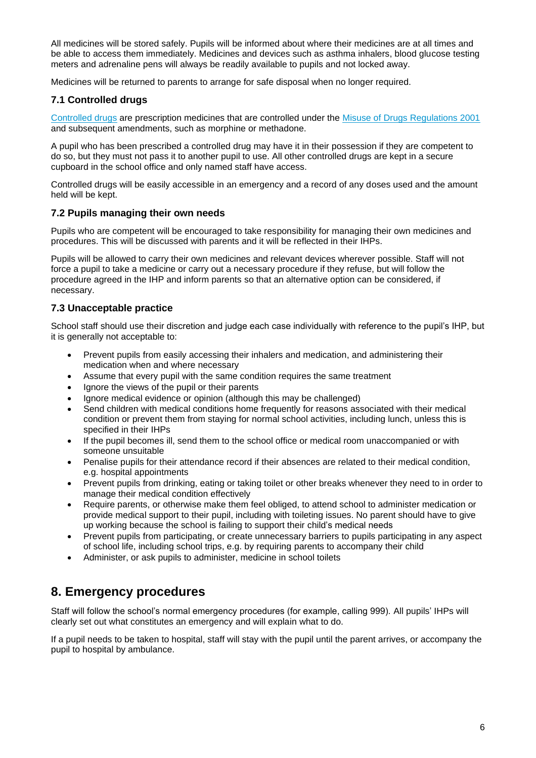All medicines will be stored safely. Pupils will be informed about where their medicines are at all times and be able to access them immediately. Medicines and devices such as asthma inhalers, blood glucose testing meters and adrenaline pens will always be readily available to pupils and not locked away.

Medicines will be returned to parents to arrange for safe disposal when no longer required.

## **7.1 Controlled drugs**

[Controlled drugs](http://www.nhs.uk/chq/Pages/1391.aspx?CategoryID=73) are prescription medicines that are controlled under the [Misuse of Drugs Regulations 2001](http://www.legislation.gov.uk/uksi/2001/3998/schedule/1/made) and subsequent amendments, such as morphine or methadone.

A pupil who has been prescribed a controlled drug may have it in their possession if they are competent to do so, but they must not pass it to another pupil to use. All other controlled drugs are kept in a secure cupboard in the school office and only named staff have access.

Controlled drugs will be easily accessible in an emergency and a record of any doses used and the amount held will be kept.

#### **7.2 Pupils managing their own needs**

Pupils who are competent will be encouraged to take responsibility for managing their own medicines and procedures. This will be discussed with parents and it will be reflected in their IHPs.

Pupils will be allowed to carry their own medicines and relevant devices wherever possible. Staff will not force a pupil to take a medicine or carry out a necessary procedure if they refuse, but will follow the procedure agreed in the IHP and inform parents so that an alternative option can be considered, if necessary.

#### **7.3 Unacceptable practice**

School staff should use their discretion and judge each case individually with reference to the pupil's IHP, but it is generally not acceptable to:

- Prevent pupils from easily accessing their inhalers and medication, and administering their medication when and where necessary
- Assume that every pupil with the same condition requires the same treatment
- Ignore the views of the pupil or their parents
- Ignore medical evidence or opinion (although this may be challenged)
- Send children with medical conditions home frequently for reasons associated with their medical condition or prevent them from staying for normal school activities, including lunch, unless this is specified in their IHPs
- If the pupil becomes ill, send them to the school office or medical room unaccompanied or with someone unsuitable
- Penalise pupils for their attendance record if their absences are related to their medical condition, e.g. hospital appointments
- Prevent pupils from drinking, eating or taking toilet or other breaks whenever they need to in order to manage their medical condition effectively
- Require parents, or otherwise make them feel obliged, to attend school to administer medication or provide medical support to their pupil, including with toileting issues. No parent should have to give up working because the school is failing to support their child's medical needs
- Prevent pupils from participating, or create unnecessary barriers to pupils participating in any aspect of school life, including school trips, e.g. by requiring parents to accompany their child
- Administer, or ask pupils to administer, medicine in school toilets

## **8. Emergency procedures**

Staff will follow the school's normal emergency procedures (for example, calling 999). All pupils' IHPs will clearly set out what constitutes an emergency and will explain what to do.

If a pupil needs to be taken to hospital, staff will stay with the pupil until the parent arrives, or accompany the pupil to hospital by ambulance.